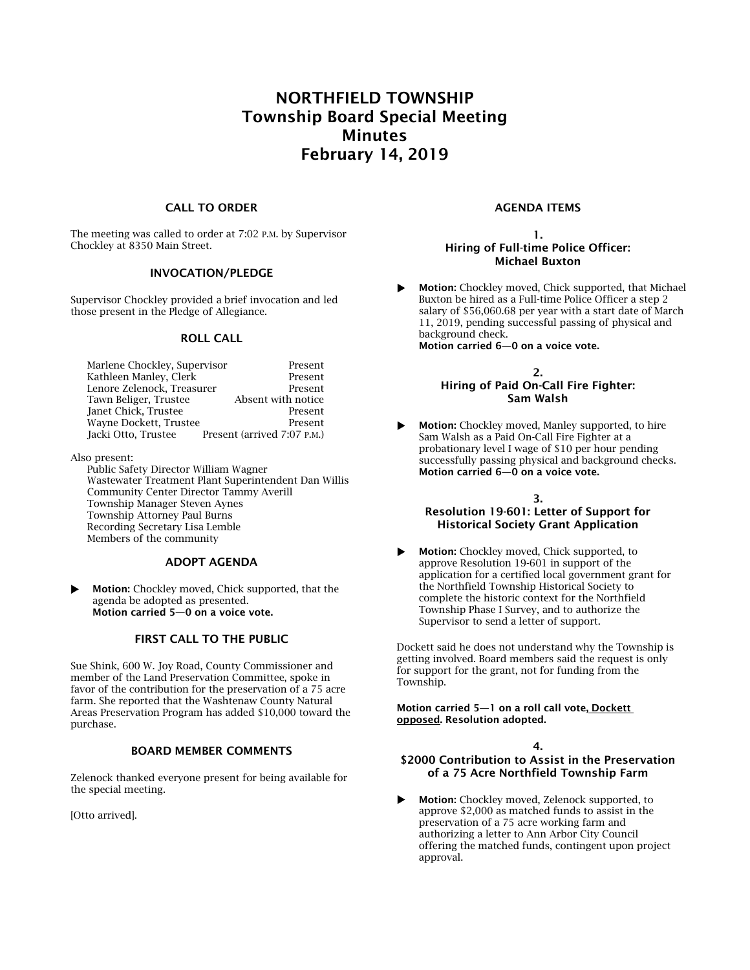# NORTHFIELD TOWNSHIP Township Board Special Meeting Minutes February 14, 2019

## CALL TO ORDER

The meeting was called to order at 7:02 P.M. by Supervisor Chockley at 8350 Main Street.

#### INVOCATION/PLEDGE

Supervisor Chockley provided a brief invocation and led those present in the Pledge of Allegiance.

#### ROLL CALL

| Marlene Chockley, Supervisor | Present                     |
|------------------------------|-----------------------------|
| Kathleen Manley, Clerk       | Present                     |
| Lenore Zelenock, Treasurer   | Present                     |
| Tawn Beliger, Trustee        | Absent with notice          |
| Janet Chick, Trustee         | Present                     |
| Wayne Dockett, Trustee       | Present                     |
| Jacki Otto, Trustee          | Present (arrived 7:07 P.M.) |

Also present:

Public Safety Director William Wagner Wastewater Treatment Plant Superintendent Dan Willis Community Center Director Tammy Averill Township Manager Steven Aynes Township Attorney Paul Burns Recording Secretary Lisa Lemble Members of the community

## ADOPT AGENDA

**Motion:** Chockley moved, Chick supported, that the agenda be adopted as presented. Motion carried 5—0 on a voice vote.

## FIRST CALL TO THE PUBLIC

Sue Shink, 600 W. Joy Road, County Commissioner and member of the Land Preservation Committee, spoke in favor of the contribution for the preservation of a 75 acre farm. She reported that the Washtenaw County Natural Areas Preservation Program has added \$10,000 toward the purchase.

#### BOARD MEMBER COMMENTS

Zelenock thanked everyone present for being available for the special meeting.

[Otto arrived].

## AGENDA ITEMS

## 1. Hiring of Full-time Police Officer: Michael Buxton

 Motion: Chockley moved, Chick supported, that Michael Buxton be hired as a Full-time Police Officer a step 2 salary of \$56,060.68 per year with a start date of March 11, 2019, pending successful passing of physical and background check. Motion carried 6—0 on a voice vote.

> 2. Hiring of Paid On-Call Fire Fighter: Sam Walsh

**Motion:** Chockley moved, Manley supported, to hire Sam Walsh as a Paid On-Call Fire Fighter at a probationary level I wage of \$10 per hour pending successfully passing physical and background checks. Motion carried 6—0 on a voice vote.

#### 3.

# Resolution 19-601: Letter of Support for Historical Society Grant Application

**Motion:** Chockley moved, Chick supported, to approve Resolution 19-601 in support of the application for a certified local government grant for the Northfield Township Historical Society to complete the historic context for the Northfield Township Phase I Survey, and to authorize the Supervisor to send a letter of support.

Dockett said he does not understand why the Township is getting involved. Board members said the request is only for support for the grant, not for funding from the Township.

Motion carried 5—1 on a roll call vote, Dockett opposed. Resolution adopted.

#### 4.

## \$2000 Contribution to Assist in the Preservation of a 75 Acre Northfield Township Farm

 Motion: Chockley moved, Zelenock supported, to approve \$2,000 as matched funds to assist in the preservation of a 75 acre working farm and authorizing a letter to Ann Arbor City Council offering the matched funds, contingent upon project approval.